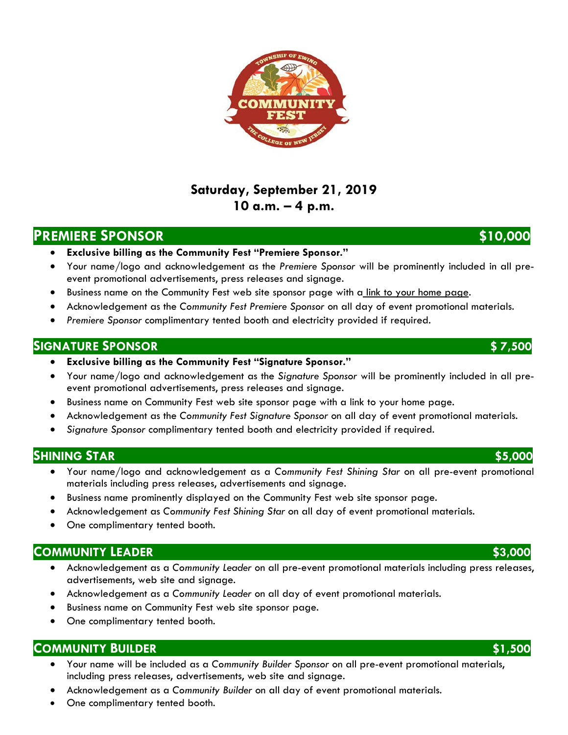# **Saturday, September 21, 2019 10 a.m. – 4 p.m.**

# **PREMIERE SPONSOR** \$10,000

- **Exclusive billing as the Community Fest "Premiere Sponsor."**
- Your name/logo and acknowledgement as the *Premiere Sponsor* will be prominently included in all preevent promotional advertisements, press releases and signage.
- Business name on the Community Fest web site sponsor page with a link to your home page.
- Acknowledgement as the *Community Fest Premiere Sponsor* on all day of event promotional materials.
- *Premiere Sponsor* complimentary tented booth and electricity provided if required.

### **SIGNATURE SPONSOR \$ 7,500**

- **Exclusive billing as the Community Fest "Signature Sponsor."**
- Your name/logo and acknowledgement as the *Signature Sponsor* will be prominently included in all preevent promotional advertisements, press releases and signage.
- Business name on Community Fest web site sponsor page with a link to your home page.
- Acknowledgement as the *Community Fest Signature Sponsor* on all day of event promotional materials.
- *Signature Sponsor* complimentary tented booth and electricity provided if required.

## **SHINING STAR \$5,000**

- Your name/logo and acknowledgement as a *Community Fest Shining Star* on all pre-event promotional materials including press releases, advertisements and signage.
- Business name prominently displayed on the Community Fest web site sponsor page.
- Acknowledgement as *Community Fest Shining Star* on all day of event promotional materials.
- One complimentary tented booth.

# **COMMUNITY LEADER \$3,000**

- Acknowledgement as a *Community Leader* on all pre-event promotional materials including press releases, advertisements, web site and signage.
- Acknowledgement as a *Community Leader* on all day of event promotional materials.
- Business name on Community Fest web site sponsor page.
- One complimentary tented booth.

## **COMMUNITY BUILDER \$1,500**

- Your name will be included as a *Community Builder Sponsor* on all pre-event promotional materials, including press releases, advertisements, web site and signage.
- Acknowledgement as a *Community Builder* on all day of event promotional materials.
- One complimentary tented booth.